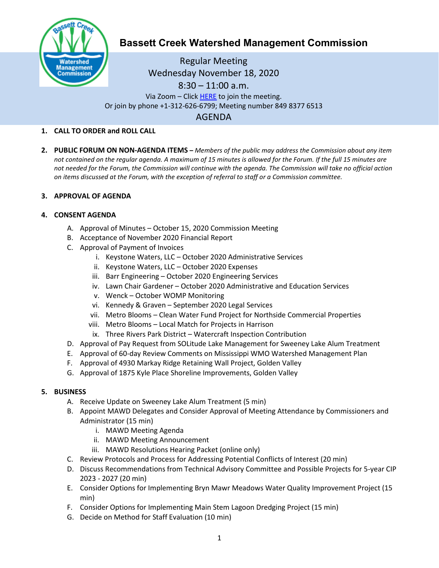

# **Bassett Creek Watershed Management Commission**

Regular Meeting Wednesday November 18, 2020 8:30 – 11:00 a.m. Via Zoom – Clic[k HERE](https://us02web.zoom.us/j/84983776513) to join the meeting. Or join by phone +1-312-626-6799; Meeting number 849 8377 6513 AGENDA

# **1. CALL TO ORDER and ROLL CALL**

**2. PUBLIC FORUM ON NON-AGENDA ITEMS –** *Members of the public may address the Commission about any item not contained on the regular agenda. A maximum of 15 minutes is allowed for the Forum. If the full 15 minutes are not needed for the Forum, the Commission will continue with the agenda. The Commission will take no official action on items discussed at the Forum, with the exception of referral to staff or a Commission committee.*

## **3. APPROVAL OF AGENDA**

## **4. CONSENT AGENDA**

- A. Approval of Minutes October 15, 2020 Commission Meeting
- B. Acceptance of November 2020 Financial Report
- C. Approval of Payment of Invoices
	- i. Keystone Waters, LLC October 2020 Administrative Services
	- ii. Keystone Waters, LLC October 2020 Expenses
	- iii. Barr Engineering October 2020 Engineering Services
	- iv. Lawn Chair Gardener October 2020 Administrative and Education Services
	- v. Wenck October WOMP Monitoring
	- vi. Kennedy & Graven September 2020 Legal Services
	- vii. Metro Blooms Clean Water Fund Project for Northside Commercial Properties
	- viii. Metro Blooms Local Match for Projects in Harrison
	- ix. Three Rivers Park District Watercraft Inspection Contribution
- D. Approval of Pay Request from SOLitude Lake Management for Sweeney Lake Alum Treatment
- E. Approval of 60-day Review Comments on Mississippi WMO Watershed Management Plan
- F. Approval of 4930 Markay Ridge Retaining Wall Project, Golden Valley
- G. Approval of 1875 Kyle Place Shoreline Improvements, Golden Valley

#### **5. BUSINESS**

- A. Receive Update on Sweeney Lake Alum Treatment (5 min)
- B. Appoint MAWD Delegates and Consider Approval of Meeting Attendance by Commissioners and Administrator (15 min)
	- i. MAWD Meeting Agenda
	- ii. MAWD Meeting Announcement
	- iii. MAWD Resolutions Hearing Packet (online only)
- C. Review Protocols and Process for Addressing Potential Conflicts of Interest (20 min)
- D. Discuss Recommendations from Technical Advisory Committee and Possible Projects for 5-year CIP 2023 - 2027 (20 min)
- E. Consider Options for Implementing Bryn Mawr Meadows Water Quality Improvement Project (15 min)
- F. Consider Options for Implementing Main Stem Lagoon Dredging Project (15 min)
- G. Decide on Method for Staff Evaluation (10 min)